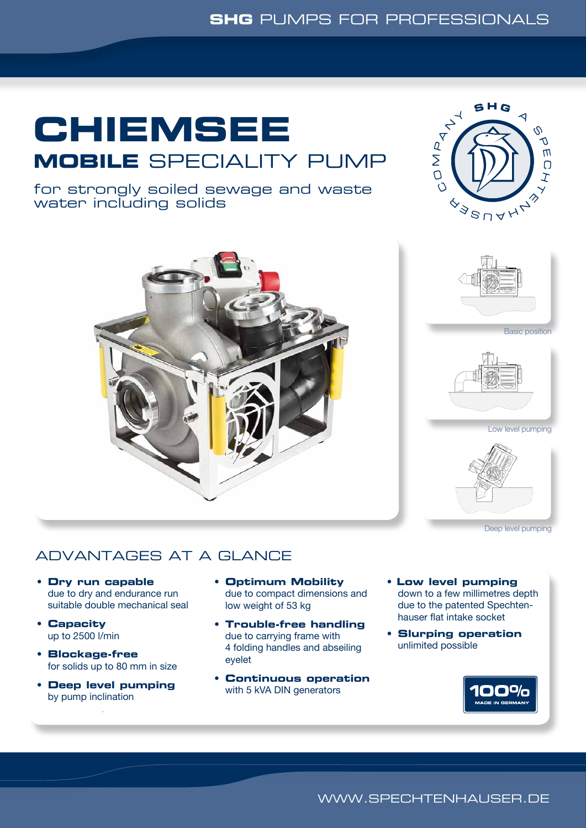# **CHIEMSEE MOBILE** SPECIALITY PUMP



Basic position

Low level pumping

Deep level pumping

for strongly soiled sewage and waste water including solids



## ADVANTAGES AT A GLANCE

- **Dry run capable** due to dry and endurance run suitable double mechanical seal
- **Capacity** up to 2500 l/min
- **Blockage-free** for solids up to 80 mm in size
- **Deep level pumping** by pump inclination
- **Optimum Mobility** due to compact dimensions and low weight of 53 kg
- **Trouble-free handling** due to carrying frame with 4 folding handles and abseiling eyelet
- **Continuous operation** with 5 kVA DIN generators
- **Low level pumping** down to a few millimetres depth due to the patented Spechten- hauser flat intake socket
- **Slurping operation** unlimited possible



WWW.SPECHTENHAUSER.DE